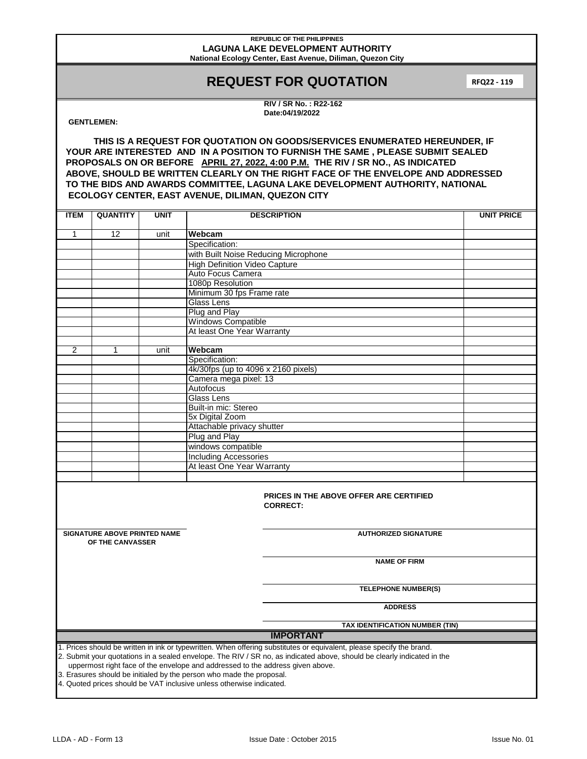#### **REPUBLIC OF THE PHILIPPINES LAGUNA LAKE DEVELOPMENT AUTHORITY National Ecology Center, East Avenue, Diliman, Quezon City**

# **REQUEST FOR QUOTATION**

**RFQ22 - 119**

**RIV / SR No. : R22-162 Date:04/19/2022**

## **GENTLEMEN:**

**THIS IS A REQUEST FOR QUOTATION ON GOODS/SERVICES ENUMERATED HEREUNDER, IF YOUR ARE INTERESTED AND IN A POSITION TO FURNISH THE SAME , PLEASE SUBMIT SEALED PROPOSALS ON OR BEFORE APRIL 27, 2022, 4:00 P.M. THE RIV / SR NO., AS INDICATED ABOVE, SHOULD BE WRITTEN CLEARLY ON THE RIGHT FACE OF THE ENVELOPE AND ADDRESSED TO THE BIDS AND AWARDS COMMITTEE, LAGUNA LAKE DEVELOPMENT AUTHORITY, NATIONAL ECOLOGY CENTER, EAST AVENUE, DILIMAN, QUEZON CITY**

| <b>ITEM</b>                                                                                                                                                                                                                                                                                                                                                                                                | <b>QUANTITY</b> | <b>UNIT</b> | <b>DESCRIPTION</b>                            | <b>UNIT PRICE</b> |  |  |  |
|------------------------------------------------------------------------------------------------------------------------------------------------------------------------------------------------------------------------------------------------------------------------------------------------------------------------------------------------------------------------------------------------------------|-----------------|-------------|-----------------------------------------------|-------------------|--|--|--|
| $\mathbf{1}$                                                                                                                                                                                                                                                                                                                                                                                               | 12              | unit        | Webcam                                        |                   |  |  |  |
|                                                                                                                                                                                                                                                                                                                                                                                                            |                 |             | Specification:                                |                   |  |  |  |
|                                                                                                                                                                                                                                                                                                                                                                                                            |                 |             | with Built Noise Reducing Microphone          |                   |  |  |  |
|                                                                                                                                                                                                                                                                                                                                                                                                            |                 |             | <b>High Definition Video Capture</b>          |                   |  |  |  |
|                                                                                                                                                                                                                                                                                                                                                                                                            |                 |             | Auto Focus Camera                             |                   |  |  |  |
|                                                                                                                                                                                                                                                                                                                                                                                                            |                 |             | 1080p Resolution                              |                   |  |  |  |
|                                                                                                                                                                                                                                                                                                                                                                                                            |                 |             | Minimum 30 fps Frame rate                     |                   |  |  |  |
|                                                                                                                                                                                                                                                                                                                                                                                                            |                 |             | <b>Glass Lens</b>                             |                   |  |  |  |
|                                                                                                                                                                                                                                                                                                                                                                                                            |                 |             | Plug and Play                                 |                   |  |  |  |
|                                                                                                                                                                                                                                                                                                                                                                                                            |                 |             | <b>Windows Compatible</b>                     |                   |  |  |  |
|                                                                                                                                                                                                                                                                                                                                                                                                            |                 |             | At least One Year Warranty                    |                   |  |  |  |
|                                                                                                                                                                                                                                                                                                                                                                                                            |                 |             |                                               |                   |  |  |  |
| 2                                                                                                                                                                                                                                                                                                                                                                                                          | 1               | unit        | Webcam                                        |                   |  |  |  |
|                                                                                                                                                                                                                                                                                                                                                                                                            |                 |             | Specification:                                |                   |  |  |  |
|                                                                                                                                                                                                                                                                                                                                                                                                            |                 |             | 4k/30fps (up to 4096 x 2160 pixels)           |                   |  |  |  |
|                                                                                                                                                                                                                                                                                                                                                                                                            |                 |             | Camera mega pixel: 13                         |                   |  |  |  |
|                                                                                                                                                                                                                                                                                                                                                                                                            |                 |             | Autofocus                                     |                   |  |  |  |
|                                                                                                                                                                                                                                                                                                                                                                                                            |                 |             | <b>Glass Lens</b>                             |                   |  |  |  |
|                                                                                                                                                                                                                                                                                                                                                                                                            |                 |             | Built-in mic: Stereo                          |                   |  |  |  |
|                                                                                                                                                                                                                                                                                                                                                                                                            |                 |             | 5x Digital Zoom<br>Attachable privacy shutter |                   |  |  |  |
|                                                                                                                                                                                                                                                                                                                                                                                                            |                 |             | Plug and Play                                 |                   |  |  |  |
|                                                                                                                                                                                                                                                                                                                                                                                                            |                 |             | windows compatible                            |                   |  |  |  |
|                                                                                                                                                                                                                                                                                                                                                                                                            |                 |             | <b>Including Accessories</b>                  |                   |  |  |  |
|                                                                                                                                                                                                                                                                                                                                                                                                            |                 |             | At least One Year Warranty                    |                   |  |  |  |
|                                                                                                                                                                                                                                                                                                                                                                                                            |                 |             |                                               |                   |  |  |  |
| PRICES IN THE ABOVE OFFER ARE CERTIFIED<br><b>CORRECT:</b>                                                                                                                                                                                                                                                                                                                                                 |                 |             |                                               |                   |  |  |  |
| <b>SIGNATURE ABOVE PRINTED NAME</b><br>OF THE CANVASSER                                                                                                                                                                                                                                                                                                                                                    |                 |             | <b>AUTHORIZED SIGNATURE</b>                   |                   |  |  |  |
|                                                                                                                                                                                                                                                                                                                                                                                                            |                 |             | <b>NAME OF FIRM</b>                           |                   |  |  |  |
|                                                                                                                                                                                                                                                                                                                                                                                                            |                 |             | <b>TELEPHONE NUMBER(S)</b>                    |                   |  |  |  |
|                                                                                                                                                                                                                                                                                                                                                                                                            |                 |             | <b>ADDRESS</b>                                |                   |  |  |  |
| TAX IDENTIFICATION NUMBER (TIN)                                                                                                                                                                                                                                                                                                                                                                            |                 |             |                                               |                   |  |  |  |
| <b>IMPORTANT</b>                                                                                                                                                                                                                                                                                                                                                                                           |                 |             |                                               |                   |  |  |  |
| 1. Prices should be written in ink or typewritten. When offering substitutes or equivalent, please specify the brand.<br>2. Submit your quotations in a sealed envelope. The RIV / SR no, as indicated above, should be clearly indicated in the<br>uppermost right face of the envelope and addressed to the address given above.<br>3. Erasures should be initialed by the person who made the proposal. |                 |             |                                               |                   |  |  |  |

4. Quoted prices should be VAT inclusive unless otherwise indicated.